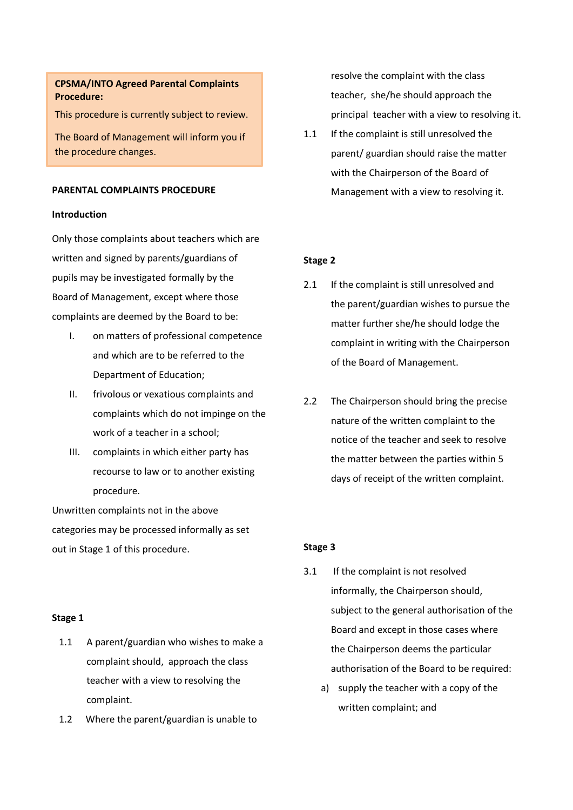# **CPSMA/INTO Agreed Parental Complaints Procedure:**

This procedure is currently subject to review.

The Board of Management will inform you if the procedure changes.

## **PARENTAL COMPLAINTS PROCEDURE**

## **Introduction**

Only those complaints about teachers which are written and signed by parents/guardians of pupils may be investigated formally by the Board of Management, except where those complaints are deemed by the Board to be:

- I. on matters of professional competence and which are to be referred to the Department of Education;
- II. frivolous or vexatious complaints and complaints which do not impinge on the work of a teacher in a school;
- III. complaints in which either party has recourse to law or to another existing procedure.

Unwritten complaints not in the above categories may be processed informally as set out in Stage 1 of this procedure.

#### **Stage 1**

- 1.1 A parent/guardian who wishes to make a complaint should, approach the class teacher with a view to resolving the complaint.
- 1.2 Where the parent/guardian is unable to

resolve the complaint with the class teacher, she/he should approach the principal teacher with a view to resolving it.

1.1 If the complaint is still unresolved the parent/ guardian should raise the matter with the Chairperson of the Board of Management with a view to resolving it.

#### **Stage 2**

- 2.1 If the complaint is still unresolved and the parent/guardian wishes to pursue the matter further she/he should lodge the complaint in writing with the Chairperson of the Board of Management.
- 2.2 The Chairperson should bring the precise nature of the written complaint to the notice of the teacher and seek to resolve the matter between the parties within 5 days of receipt of the written complaint.

### **Stage 3**

- 3.1 If the complaint is not resolved informally, the Chairperson should, subject to the general authorisation of the Board and except in those cases where the Chairperson deems the particular authorisation of the Board to be required:
	- a) supply the teacher with a copy of the written complaint; and